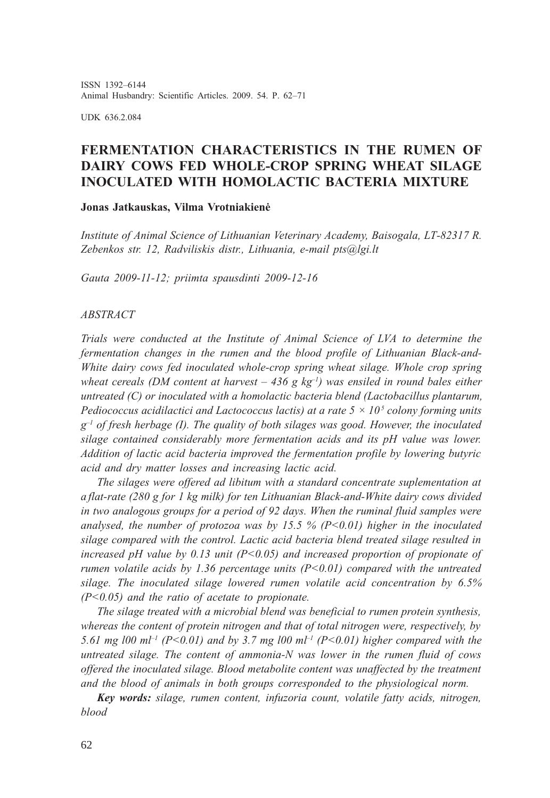ISSN 1392-6144 Animal Husbandry: Scientific Articles. 2009. 54. P. 62-71

UDK 636.2.084

# FERMENTATION CHARACTERISTICS IN THE RUMEN OF DAIRY COWS FED WHOLE-CROP SPRING WHEAT SILAGE INOCULATED WITH HOMOLACTIC BACTERIA MIXTURE

#### Jonas Jatkauskas, Vilma Vrotniakienë

Institute of Animal Science of Lithuanian Veterinary Academy, Baisogala, LT-82317 R. Zebenkos str. 12, Radviliskis distr., Lithuania, e-mail pts@lgi.lt

Gauta 2009-11-12; priimta spausdinti 2009-12-16

### ABSTRACT

Trials were conducted at the Institute of Animal Science of LVA to determine the fermentation changes in the rumen and the blood profile of Lithuanian Black-and-White dairy cows fed inoculated whole-crop spring wheat silage. Whole crop spring wheat cereals (DM content at harvest  $-436$  g kg<sup>-1</sup>) was ensiled in round bales either untreated  $(C)$  or inoculated with a homolactic bacteria blend (Lactobacillus plantarum, Pediococcus acidilactici and Lactococcus lactis) at a rate  $5 \times 10^5$  colony forming units  $g^{-1}$  of fresh herbage (I). The quality of both silages was good. However, the inoculated silage contained considerably more fermentation acids and its pH value was lower. Addition of lactic acid bacteria improved the fermentation profile by lowering butyric acid and dry matter losses and increasing lactic acid.

The silages were offered ad libitum with a standard concentrate suplementation at a flat-rate (280 g for 1 kg milk) for ten Lithuanian Black-and-White dairy cows divided in two analogous groups for a period of 92 days. When the ruminal fluid samples were analysed, the number of protozoa was by 15.5 % ( $P<0.01$ ) higher in the inoculated silage compared with the control. Lactic acid bacteria blend treated silage resulted in increased pH value by 0.13 unit  $(P<0.05)$  and increased proportion of propionate of rumen volatile acids by 1.36 percentage units  $(P<0.01)$  compared with the untreated silage. The inoculated silage lowered rumen volatile acid concentration by 6.5%  $(P<0.05)$  and the ratio of acetate to propionate.

The silage treated with a microbial blend was beneficial to rumen protein synthesis, whereas the content of protein nitrogen and that of total nitrogen were, respectively, by 5.61 mg l00 ml<sup>-1</sup> (P<0.01) and by 3.7 mg l00 ml<sup>-1</sup> (P<0.01) higher compared with the untreated silage. The content of ammonia-N was lower in the rumen fluid of cows offered the inoculated silage. Blood metabolite content was unaffected by the treatment and the blood of animals in both groups corresponded to the physiological norm.

Key words: silage, rumen content, infuzoria count, volatile fatty acids, nitrogen, blood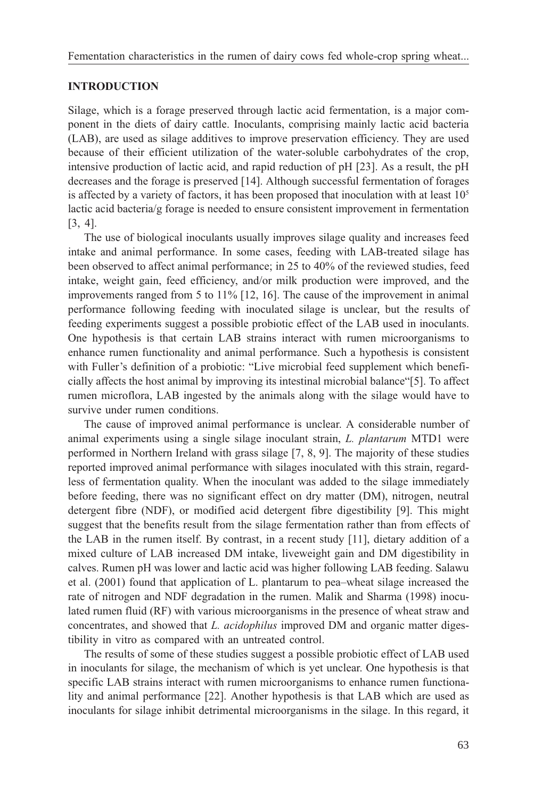## INTRODUCTION

Silage, which is a forage preserved through lactic acid fermentation, is a major component in the diets of dairy cattle. Inoculants, comprising mainly lactic acid bacteria (LAB), are used as silage additives to improve preservation efficiency. They are used because of their efficient utilization of the water-soluble carbohydrates of the crop, intensive production of lactic acid, and rapid reduction of pH [23]. As a result, the pH decreases and the forage is preserved [14]. Although successful fermentation of forages is affected by a variety of factors, it has been proposed that inoculation with at least  $10<sup>5</sup>$ lactic acid bacteria/g forage is needed to ensure consistent improvement in fermentation [3, 4].

The use of biological inoculants usually improves silage quality and increases feed intake and animal performance. In some cases, feeding with LAB-treated silage has been observed to affect animal performance; in 25 to 40% of the reviewed studies, feed intake, weight gain, feed efficiency, and/or milk production were improved, and the improvements ranged from 5 to 11% [12, 16]. The cause of the improvement in animal performance following feeding with inoculated silage is unclear, but the results of feeding experiments suggest a possible probiotic effect of the LAB used in inoculants. One hypothesis is that certain LAB strains interact with rumen microorganisms to enhance rumen functionality and animal performance. Such a hypothesis is consistent with Fuller's definition of a probiotic: "Live microbial feed supplement which beneficially affects the host animal by improving its intestinal microbial balance[5]. To affect rumen microflora, LAB ingested by the animals along with the silage would have to survive under rumen conditions.

The cause of improved animal performance is unclear. A considerable number of animal experiments using a single silage inoculant strain, L. plantarum MTD1 were performed in Northern Ireland with grass silage [7, 8, 9]. The majority of these studies reported improved animal performance with silages inoculated with this strain, regardless of fermentation quality. When the inoculant was added to the silage immediately before feeding, there was no significant effect on dry matter (DM), nitrogen, neutral detergent fibre (NDF), or modified acid detergent fibre digestibility [9]. This might suggest that the benefits result from the silage fermentation rather than from effects of the LAB in the rumen itself. By contrast, in a recent study [11], dietary addition of a mixed culture of LAB increased DM intake, liveweight gain and DM digestibility in calves. Rumen pH was lower and lactic acid was higher following LAB feeding. Salawu et al. (2001) found that application of L. plantarum to peawheat silage increased the rate of nitrogen and NDF degradation in the rumen. Malik and Sharma (1998) inoculated rumen fluid (RF) with various microorganisms in the presence of wheat straw and concentrates, and showed that L. acidophilus improved DM and organic matter digestibility in vitro as compared with an untreated control.

The results of some of these studies suggest a possible probiotic effect of LAB used in inoculants for silage, the mechanism of which is yet unclear. One hypothesis is that specific LAB strains interact with rumen microorganisms to enhance rumen functionality and animal performance [22]. Another hypothesis is that LAB which are used as inoculants for silage inhibit detrimental microorganisms in the silage. In this regard, it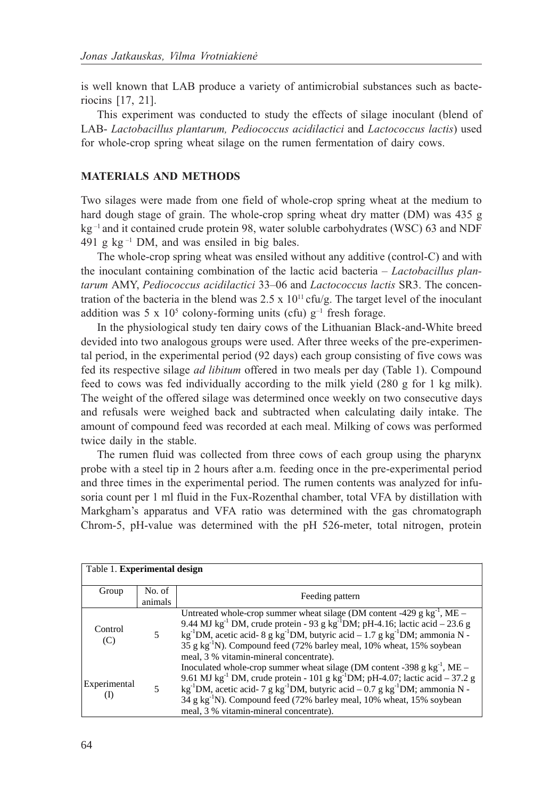is well known that LAB produce a variety of antimicrobial substances such as bacteriocins [17, 21].

This experiment was conducted to study the effects of silage inoculant (blend of LAB- Lactobacillus plantarum, Pediococcus acidilactici and Lactococcus lactis) used for whole-crop spring wheat silage on the rumen fermentation of dairy cows.

## MATERIALS AND METHODS

Two silages were made from one field of whole-crop spring wheat at the medium to hard dough stage of grain. The whole-crop spring wheat dry matter (DM) was 435 g  $kg<sup>-1</sup>$  and it contained crude protein 98, water soluble carbohydrates (WSC) 63 and NDF 491 g kg $^{-1}$  DM, and was ensiled in big bales.

The whole-crop spring wheat was ensiled without any additive (control-C) and with the inoculant containing combination of the lactic acid bacteria  $-$  *Lactobacillus plan*tarum AMY, Pediococcus acidilactici 33-06 and Lactococcus lactis SR3. The concentration of the bacteria in the blend was  $2.5 \times 10^{11}$  cfu/g. The target level of the inoculant addition was 5 x  $10<sup>5</sup>$  colony-forming units (cfu)  $g<sup>-1</sup>$  fresh forage.

In the physiological study ten dairy cows of the Lithuanian Black-and-White breed devided into two analogous groups were used. After three weeks of the pre-experimental period, in the experimental period (92 days) each group consisting of five cows was fed its respective silage ad libitum offered in two meals per day (Table 1). Compound feed to cows was fed individually according to the milk yield (280 g for 1 kg milk). The weight of the offered silage was determined once weekly on two consecutive days and refusals were weighed back and subtracted when calculating daily intake. The amount of compound feed was recorded at each meal. Milking of cows was performed twice daily in the stable.

The rumen fluid was collected from three cows of each group using the pharynx probe with a steel tip in 2 hours after a.m. feeding once in the pre-experimental period and three times in the experimental period. The rumen contents was analyzed for infusoria count per 1 ml fluid in the Fux-Rozenthal chamber, total VFA by distillation with Markgham's apparatus and VFA ratio was determined with the gas chromatograph Chrom-5, pH-value was determined with the pH 526-meter, total nitrogen, protein

| Table 1. Experimental design |                   |                                                                                                                                                                                                                                                                                                                                                                                                                                    |  |  |  |
|------------------------------|-------------------|------------------------------------------------------------------------------------------------------------------------------------------------------------------------------------------------------------------------------------------------------------------------------------------------------------------------------------------------------------------------------------------------------------------------------------|--|--|--|
|                              |                   |                                                                                                                                                                                                                                                                                                                                                                                                                                    |  |  |  |
| Group                        | No. of<br>animals | Feeding pattern                                                                                                                                                                                                                                                                                                                                                                                                                    |  |  |  |
| Control<br>(C)               |                   | Untreated whole-crop summer wheat silage (DM content -429 g $kg^{-1}$ , ME –<br>9.44 MJ kg <sup>-1</sup> DM, crude protein - 93 g kg <sup>-1</sup> DM; pH-4.16; lactic acid $-23.6$ g<br>$kg^{-1}DM$ , acetic acid- 8 g kg <sup>-1</sup> DM, butyric acid - 1.7 g kg <sup>-1</sup> DM; ammonia N -<br>35 g kg <sup>-1</sup> N). Compound feed (72% barley meal, 10% wheat, 15% soybean<br>meal, 3 % vitamin-mineral concentrate).  |  |  |  |
| Experimental                 |                   | Inoculated whole-crop summer wheat silage (DM content -398 g $kg^{-1}$ , ME –<br>9.61 MJ kg <sup>-1</sup> DM, crude protein - 101 g kg <sup>-1</sup> DM; pH-4.07; lactic acid - 37.2 g<br>$kg^{-1}$ DM, acetic acid- 7 g kg <sup>-1</sup> DM, butyric acid – 0.7 g kg <sup>-1</sup> DM; ammonia N -<br>34 g kg <sup>-1</sup> N). Compound feed (72% barley meal, 10% wheat, 15% soybean<br>meal, 3 % vitamin-mineral concentrate). |  |  |  |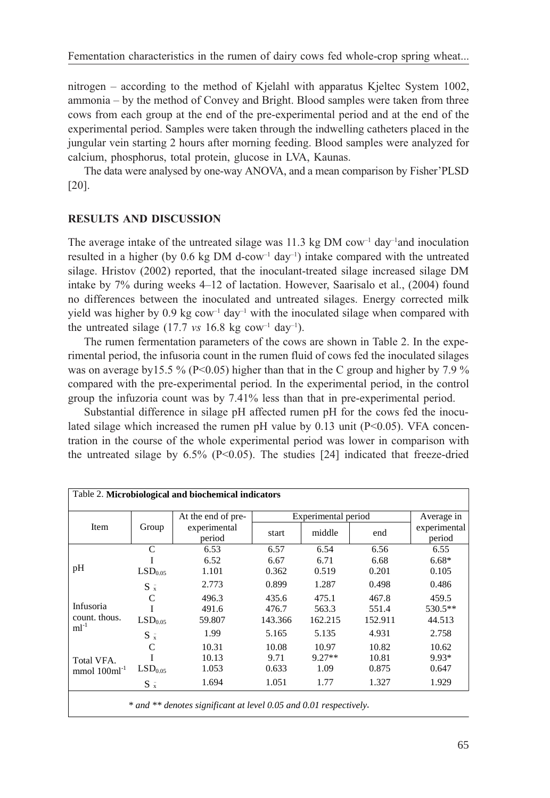nitrogen  $-$  according to the method of Kielahl with apparatus Kieltec System 1002, ammonia  $-$  by the method of Convey and Bright. Blood samples were taken from three cows from each group at the end of the pre-experimental period and at the end of the experimental period. Samples were taken through the indwelling catheters placed in the jungular vein starting 2 hours after morning feeding. Blood samples were analyzed for calcium, phosphorus, total protein, glucose in LVA, Kaunas.

The data were analysed by one-way ANOVA, and a mean comparison by Fisher'PLSD [20].

# RESULTS AND DISCUSSION

The average intake of the untreated silage was 11.3 kg DM cow<sup>-1</sup> day<sup>-1</sup>and inoculation resulted in a higher (by 0.6 kg DM d-cow<sup>-1</sup> day<sup>-1</sup>) intake compared with the untreated silage. Hristov (2002) reported, that the inoculant-treated silage increased silage DM intake by 7% during weeks 4–12 of lactation. However, Saarisalo et al., (2004) found no differences between the inoculated and untreated silages. Energy corrected milk yield was higher by 0.9 kg  $\text{row}^{-1}$  day<sup>-1</sup> with the inoculated silage when compared with the untreated silage (17.7  $vs$  16.8 kg cow<sup>-1</sup> day<sup>-1</sup>).

The rumen fermentation parameters of the cows are shown in Table 2. In the experimental period, the infusoria count in the rumen fluid of cows fed the inoculated silages was on average by 15.5 % (P<0.05) higher than that in the C group and higher by 7.9 % compared with the pre-experimental period. In the experimental period, in the control group the infuzoria count was by 7.41% less than that in pre-experimental period.

Substantial difference in silage pH affected rumen pH for the cows fed the inoculated silage which increased the rumen pH value by  $0.13$  unit (P<0.05). VFA concentration in the course of the whole experimental period was lower in comparison with the untreated silage by  $6.5\%$  (P<0.05). The studies [24] indicated that freeze-dried

| Table 2. Microbiological and biochemical indicators               |                       |                        |                     |          |         |                        |
|-------------------------------------------------------------------|-----------------------|------------------------|---------------------|----------|---------|------------------------|
|                                                                   |                       | At the end of pre-     | Experimental period |          |         | Average in             |
| Item                                                              | Group                 | experimental<br>period | start               | middle   | end     | experimental<br>period |
|                                                                   | C                     | 6.53                   | 6.57                | 6.54     | 6.56    | 6.55                   |
|                                                                   |                       | 6.52                   | 6.67                | 6.71     | 6.68    | $6.68*$                |
| pH                                                                | LSD <sub>0.05</sub>   | 1.101                  | 0.362               | 0.519    | 0.201   | 0.105                  |
|                                                                   | $S_{\bar{x}}$         | 2.773                  | 0.899               | 1.287    | 0.498   | 0.486                  |
| Infusoria<br>count. thous.<br>$ml^{-1}$                           | C                     | 496.3                  | 435.6               | 475.1    | 467.8   | 459.5                  |
|                                                                   |                       | 491.6                  | 476.7               | 563.3    | 551.4   | 530.5**                |
|                                                                   | $\mathrm{LSD}_{0.05}$ | 59.807                 | 143.366             | 162.215  | 152.911 | 44.513                 |
|                                                                   | $S_{\bar{x}}$         | 1.99                   | 5.165               | 5.135    | 4.931   | 2.758                  |
| Total VFA.<br>$mmol$ 100 $ml^{-1}$                                | C                     | 10.31                  | 10.08               | 10.97    | 10.82   | 10.62                  |
|                                                                   |                       | 10.13                  | 9.71                | $9.27**$ | 10.81   | 9.93*                  |
|                                                                   | LSD <sub>0.05</sub>   | 1.053                  | 0.633               | 1.09     | 0.875   | 0.647                  |
|                                                                   | $S\overline{x}$       | 1.694                  | 1.051               | 1.77     | 1.327   | 1.929                  |
| * and ** denotes significant at level 0.05 and 0.01 respectively. |                       |                        |                     |          |         |                        |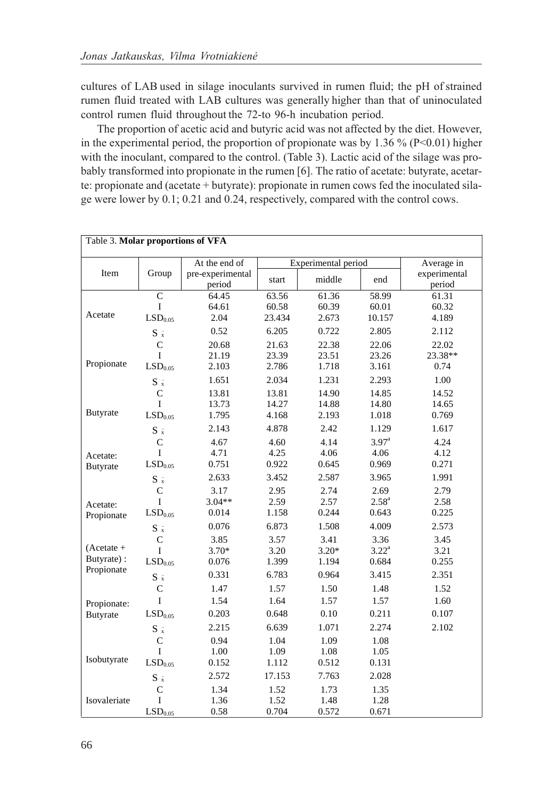cultures of LAB used in silage inoculants survived in rumen fluid; the pH ofstrained rumen fluid treated with LAB cultures was generally higher than that of uninoculated control rumen fluid throughout the 72-to 96-h incubation period.

The proportion of acetic acid and butyric acid was not affected by the diet. However, in the experimental period, the proportion of propionate was by 1.36 % ( $P<0.01$ ) higher with the inoculant, compared to the control. (Table 3). Lactic acid of the silage was probably transformed into propionate in the rumen [6]. The ratio of acetate: butyrate, acetarte: propionate and (acetate + butyrate): propionate in rumen cows fed the inoculated silage were lower by 0.1; 0.21 and 0.24, respectively, compared with the control cows.

| Table 3. Molar proportions of VFA |                                           |                            |                         |                          |                                 |                          |
|-----------------------------------|-------------------------------------------|----------------------------|-------------------------|--------------------------|---------------------------------|--------------------------|
|                                   |                                           | At the end of              | Experimental period     |                          |                                 | Average in               |
| Item                              | Group                                     | pre-experimental<br>period | start                   | middle                   | end                             | experimental<br>period   |
| Acetate                           | $\mathsf{C}$<br>I                         | 64.45<br>64.61             | 63.56<br>60.58          | 61.36<br>60.39           | 58.99<br>60.01                  | 61.31<br>60.32           |
|                                   | LSD <sub>0.05</sub>                       | 2.04                       | 23.434                  | 2.673                    | 10.157                          | 4.189                    |
|                                   | $S\overline{x}$                           | 0.52                       | 6.205                   | 0.722                    | 2.805                           | 2.112                    |
| Propionate                        | $\mathsf{C}$<br>T<br>LSD <sub>0.05</sub>  | 20.68<br>21.19<br>2.103    | 21.63<br>23.39<br>2.786 | 22.38<br>23.51<br>1.718  | 22.06<br>23.26<br>3.161         | 22.02<br>23.38**<br>0.74 |
|                                   | $S\overline{x}$                           | 1.651                      | 2.034                   | 1.231                    | 2.293                           | 1.00                     |
| <b>Butyrate</b>                   | $\mathsf{C}$<br>Ī<br>LSD <sub>0.05</sub>  | 13.81<br>13.73<br>1.795    | 13.81<br>14.27<br>4.168 | 14.90<br>14.88<br>2.193  | 14.85<br>14.80<br>1.018         | 14.52<br>14.65<br>0.769  |
|                                   |                                           | 2.143                      | 4.878                   | 2.42                     | 1.129                           | 1.617                    |
| Acetate:                          | $S_{x}$<br>C<br>T                         | 4.67<br>4.71               | 4.60<br>4.25            | 4.14<br>4.06             | 3.97 <sup>a</sup><br>4.06       | 4.24<br>4.12             |
| <b>Butyrate</b>                   | LSD <sub>0.05</sub>                       | 0.751                      | 0.922                   | 0.645                    | 0.969                           | 0.271                    |
|                                   | $S_{\bar{x}}$                             | 2.633                      | 3.452                   | 2.587                    | 3.965                           | 1.991                    |
| Acetate:<br>Propionate            | $\mathcal{C}$<br>T<br>LSD <sub>0.05</sub> | 3.17<br>$3.04**$<br>0.014  | 2.95<br>2.59<br>1.158   | 2.74<br>2.57<br>0.244    | 2.69<br>$2.58^{a}$<br>0.643     | 2.79<br>2.58<br>0.225    |
|                                   | $S\overline{x}$                           | 0.076                      | 6.873                   | 1.508                    | 4.009                           | 2.573                    |
| $(Acetate +$<br>Butyrate):        | C<br>I<br>LSD <sub>0.05</sub>             | 3.85<br>$3.70*$<br>0.076   | 3.57<br>3.20<br>1.399   | 3.41<br>$3.20*$<br>1.194 | 3.36<br>$3.22^{\rm a}$<br>0.684 | 3.45<br>3.21<br>0.255    |
| Propionate                        | $S\overline{x}$                           | 0.331                      | 6.783                   | 0.964                    | 3.415                           | 2.351                    |
|                                   | C                                         | 1.47                       | 1.57                    | 1.50                     | 1.48                            | 1.52                     |
| Propionate:                       | Ī                                         | 1.54                       | 1.64                    | 1.57                     | 1.57                            | 1.60                     |
| <b>Butyrate</b>                   | LSD <sub>0.05</sub>                       | 0.203                      | 0.648                   | 0.10                     | 0.211                           | 0.107                    |
|                                   | $S\overline{x}$                           | 2.215                      | 6.639                   | 1.071                    | 2.274                           | 2.102                    |
| Isobutyrate                       | $\mathcal{C}$<br>I<br>LSD <sub>0.05</sub> | 0.94<br>1.00<br>0.152      | 1.04<br>1.09<br>1.112   | 1.09<br>1.08<br>0.512    | 1.08<br>1.05<br>0.131           |                          |
|                                   |                                           | 2.572                      | 17.153                  | 7.763                    | 2.028                           |                          |
|                                   | $S\overline{x}$<br>C                      | 1.34                       | 1.52                    | 1.73                     | 1.35                            |                          |
| Isovaleriate                      | Ī<br>LSD <sub>0.05</sub>                  | 1.36<br>0.58               | 1.52<br>0.704           | 1.48<br>0.572            | 1.28<br>0.671                   |                          |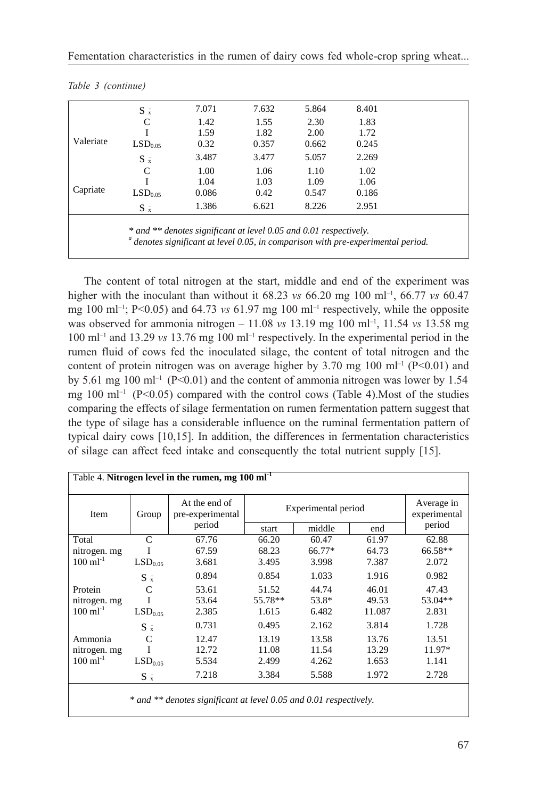|           | $S\overline{x}$     | 7.071 | 7.632 | 5.864 | 8.401 |
|-----------|---------------------|-------|-------|-------|-------|
|           | C                   | 1.42  | 1.55  | 2.30  | 1.83  |
|           |                     | 1.59  | 1.82  | 2.00  | 1.72  |
| Valeriate | LSD <sub>0.05</sub> | 0.32  | 0.357 | 0.662 | 0.245 |
|           | $S\overline{x}$     | 3.487 | 3.477 | 5.057 | 2.269 |
| Capriate  | C                   | 1.00  | 1.06  | 1.10  | 1.02  |
|           |                     | 1.04  | 1.03  | 1.09  | 1.06  |
|           | LSD <sub>0.05</sub> | 0.086 | 0.42  | 0.547 | 0.186 |
|           | $S_{\bar{x}}$       | 1.386 | 6.621 | 8.226 | 2.951 |

Table 3 (continue)

<sup>*a*</sup> denotes significant at level 0.05, in comparison with pre-experimental period.

The content of total nitrogen at the start, middle and end of the experiment was higher with the inoculant than without it 68.23  $\upsilon$ s 66.20 mg 100 ml<sup>-1</sup>, 66.77  $\upsilon$ s 60.47 mg 100 ml<sup>-1</sup>; P<0.05) and 64.73 vs 61.97 mg 100 ml<sup>-1</sup> respectively, while the opposite was observed for ammonia nitrogen  $-11.08$  vs 13.19 mg 100 ml<sup>-1</sup>, 11.54 vs 13.58 mg 100 ml<sup>-1</sup> and 13.29 vs 13.76 mg 100 ml<sup>-1</sup> respectively. In the experimental period in the rumen fluid of cows fed the inoculated silage, the content of total nitrogen and the content of protein nitrogen was on average higher by 3.70 mg 100 ml<sup>-1</sup> ( $P<0.01$ ) and by 5.61 mg 100 ml<sup>-1</sup> (P<0.01) and the content of ammonia nitrogen was lower by 1.54 mg  $100 \text{ ml}^{-1}$  (P<0.05) compared with the control cows (Table 4). Most of the studies comparing the effects of silage fermentation on rumen fermentation pattern suggest that the type of silage has a considerable influence on the ruminal fermentation pattern of typical dairy cows [10,15]. In addition, the differences in fermentation characteristics of silage can affect feed intake and consequently the total nutrient supply [15].

| Item                  | Group               | At the end of<br>pre-experimental<br>period | Experimental period |        |        | Average in<br>experimental |
|-----------------------|---------------------|---------------------------------------------|---------------------|--------|--------|----------------------------|
|                       |                     |                                             | start               | middle | end    | period                     |
| Total                 | C                   | 67.76                                       | 66.20               | 60.47  | 61.97  | 62.88                      |
| nitrogen. mg          |                     | 67.59                                       | 68.23               | 66.77* | 64.73  | 66.58**                    |
| $100 \text{ ml}^{-1}$ | LSD <sub>0.05</sub> | 3.681                                       | 3.495               | 3.998  | 7.387  | 2.072                      |
|                       | $S\overline{x}$     | 0.894                                       | 0.854               | 1.033  | 1.916  | 0.982                      |
| Protein               | C                   | 53.61                                       | 51.52               | 44.74  | 46.01  | 47.43                      |
| nitrogen. mg          |                     | 53.64                                       | 55.78**             | 53.8*  | 49.53  | 53.04**                    |
| $100 \text{ ml}^{-1}$ | LSD <sub>0.05</sub> | 2.385                                       | 1.615               | 6.482  | 11.087 | 2.831                      |
|                       | $S\overline{x}$     | 0.731                                       | 0.495               | 2.162  | 3.814  | 1.728                      |
| Ammonia               | C                   | 12.47                                       | 13.19               | 13.58  | 13.76  | 13.51                      |
| nitrogen. mg          |                     | 12.72                                       | 11.08               | 11.54  | 13.29  | $11.97*$                   |
| $100 \text{ ml}^{-1}$ | LSD <sub>0.05</sub> | 5.534                                       | 2.499               | 4.262  | 1.653  | 1.141                      |
|                       | $S_{\bar{x}}$       | 7.218                                       | 3.384               | 5.588  | 1.972  | 2.728                      |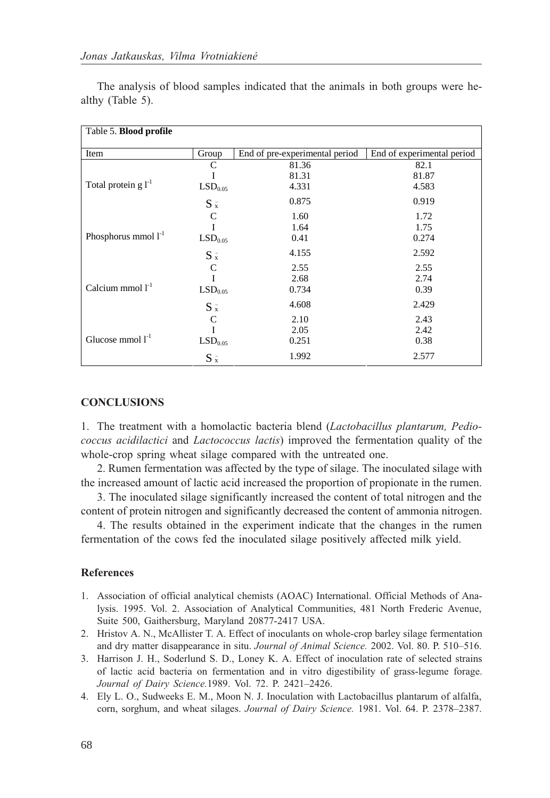| Table 5. Blood profile          |                     |                                |                            |
|---------------------------------|---------------------|--------------------------------|----------------------------|
| Item                            | Group               | End of pre-experimental period | End of experimental period |
|                                 | C                   | 81.36                          | 82.1                       |
|                                 | I                   | 81.31                          | 81.87                      |
| Total protein $g l^{-1}$        | LSD <sub>0.05</sub> | 4.331                          | 4.583                      |
|                                 | $S_{x}$             | 0.875                          | 0.919                      |
|                                 | C                   | 1.60                           | 1.72                       |
|                                 |                     | 1.64                           | 1.75                       |
| Phosphorus mmol l <sup>-1</sup> | LSD <sub>0.05</sub> | 0.41                           | 0.274                      |
|                                 | $S_{x}$             | 4.155                          | 2.592                      |
|                                 | C                   | 2.55                           | 2.55                       |
|                                 | I                   | 2.68                           | 2.74                       |
| Calcium mmol $l^{-1}$           | LSD <sub>0.05</sub> | 0.734                          | 0.39                       |
|                                 | $S_{\bar{x}}$       | 4.608                          | 2.429                      |
|                                 | C                   | 2.10                           | 2.43                       |
|                                 | I                   | 2.05                           | 2.42                       |
| Glucose mmol $\Gamma^1$         | LSD <sub>0.05</sub> | 0.251                          | 0.38                       |
|                                 | $S_{\bar{x}}$       | 1.992                          | 2.577                      |

The analysis of blood samples indicated that the animals in both groups were healthy (Table 5).

### **CONCLUSIONS**

1. The treatment with a homolactic bacteria blend (Lactobacillus plantarum, Pediococcus acidilactici and Lactococcus lactis) improved the fermentation quality of the whole-crop spring wheat silage compared with the untreated one.

2. Rumen fermentation was affected by the type of silage. The inoculated silage with the increased amount of lactic acid increased the proportion of propionate in the rumen.

3. The inoculated silage significantly increased the content of total nitrogen and the content of protein nitrogen and significantly decreased the content of ammonia nitrogen.

4. The results obtained in the experiment indicate that the changes in the rumen fermentation of the cows fed the inoculated silage positively affected milk yield.

## References

- 1. Association of official analytical chemists (AOAC) International. Official Methods of Analysis. 1995. Vol. 2. Association of Analytical Communities, 481 North Frederic Avenue, Suite 500, Gaithersburg, Maryland 20877-2417 USA.
- 2. Hristov A. N., McAllister T. A. Effect of inoculants on whole-crop barley silage fermentation and dry matter disappearance in situ. Journal of Animal Science. 2002. Vol. 80. P. 510–516.
- 3. Harrison J. H., Soderlund S. D., Loney K. A. Effect of inoculation rate of selected strains of lactic acid bacteria on fermentation and in vitro digestibility of grass-legume forage. Journal of Dairy Science.1989. Vol. 72. P. 2421-2426.
- 4. Ely L. O., Sudweeks E. M., Moon N. J. Inoculation with Lactobacillus plantarum of alfalfa, corn, sorghum, and wheat silages. Journal of Dairy Science. 1981. Vol. 64. P. 2378-2387.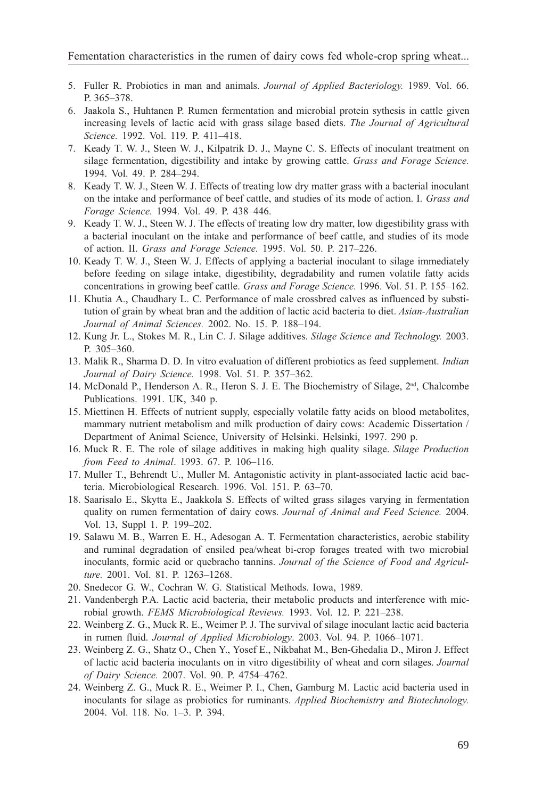- 5. Fuller R. Probiotics in man and animals. Journal of Applied Bacteriology. 1989. Vol. 66. P. 365-378.
- 6. Jaakola S., Huhtanen P. Rumen fermentation and microbial protein sythesis in cattle given increasing levels of lactic acid with grass silage based diets. The Journal of Agricultural Science. 1992. Vol. 119. P. 411-418.
- 7. Keady T. W. J., Steen W. J., Kilpatrik D. J., Mayne C. S. Effects of inoculant treatment on silage fermentation, digestibility and intake by growing cattle. Grass and Forage Science. 1994. Vol. 49. P. 284-294.
- 8. Keady T. W. J., Steen W. J. Effects of treating low dry matter grass with a bacterial inoculant on the intake and performance of beef cattle, and studies of its mode of action. I. Grass and Forage Science. 1994. Vol. 49. P. 438-446.
- 9. Keady T. W. J., Steen W. J. The effects of treating low dry matter, low digestibility grass with a bacterial inoculant on the intake and performance of beef cattle, and studies of its mode of action. II. Grass and Forage Science. 1995. Vol. 50. P. 217-226.
- 10. Keady T. W. J., Steen W. J. Effects of applying a bacterial inoculant to silage immediately before feeding on silage intake, digestibility, degradability and rumen volatile fatty acids concentrations in growing beef cattle. Grass and Forage Science. 1996. Vol. 51. P. 155-162.
- 11. Khutia A., Chaudhary L. C. Performance of male crossbred calves as influenced by substitution of grain by wheat bran and the addition of lactic acid bacteria to diet. Asian-Australian Journal of Animal Sciences. 2002. No. 15. P. 188-194.
- 12. Kung Jr. L., Stokes M. R., Lin C. J. Silage additives. Silage Science and Technology. 2003. P. 305-360.
- 13. Malik R., Sharma D. D. In vitro evaluation of different probiotics as feed supplement. Indian Journal of Dairy Science. 1998. Vol. 51. P. 357-362.
- 14. McDonald P., Henderson A. R., Heron S. J. E. The Biochemistry of Silage, 2nd, Chalcombe Publications. 1991. UK, 340 p.
- 15. Miettinen H. Effects of nutrient supply, especially volatile fatty acids on blood metabolites, mammary nutrient metabolism and milk production of dairy cows: Academic Dissertation / Department of Animal Science, University of Helsinki. Helsinki, 1997. 290 p.
- 16. Muck R. E. The role of silage additives in making high quality silage. Silage Production from Feed to Animal. 1993. 67. P. 106-116.
- 17. Muller T., Behrendt U., Muller M. Antagonistic activity in plant-associated lactic acid bacteria. Microbiological Research. 1996. Vol. 151. P. 63-70.
- 18. Saarisalo E., Skytta E., Jaakkola S. Effects of wilted grass silages varying in fermentation quality on rumen fermentation of dairy cows. Journal of Animal and Feed Science. 2004. Vol. 13, Suppl 1. P. 199-202.
- 19. Salawu M. B., Warren E. H., Adesogan A. T. Fermentation characteristics, aerobic stability and ruminal degradation of ensiled pea/wheat bi-crop forages treated with two microbial inoculants, formic acid or quebracho tannins. Journal of the Science of Food and Agriculture. 2001. Vol. 81. P. 1263-1268.
- 20. Snedecor G. W., Cochran W. G. Statistical Methods. Iowa, 1989.
- 21. Vandenbergh P.A. Lactic acid bacteria, their metabolic products and interference with microbial growth. FEMS Microbiological Reviews. 1993. Vol. 12. P. 221-238.
- 22. Weinberg Z. G., Muck R. E., Weimer P. J. The survival of silage inoculant lactic acid bacteria in rumen fluid. Journal of Applied Microbiology. 2003. Vol. 94. P. 1066-1071.
- 23. Weinberg Z. G., Shatz O., Chen Y., Yosef E., Nikbahat M., Ben-Ghedalia D., Miron J. Effect of lactic acid bacteria inoculants on in vitro digestibility of wheat and corn silages. Journal of Dairy Science. 2007. Vol. 90. P. 4754-4762.
- 24. Weinberg Z. G., Muck R. E., Weimer P. I., Chen, Gamburg M. Lactic acid bacteria used in inoculants for silage as probiotics for ruminants. Applied Biochemistry and Biotechnology. 2004. Vol. 118. No. 1-3. P. 394.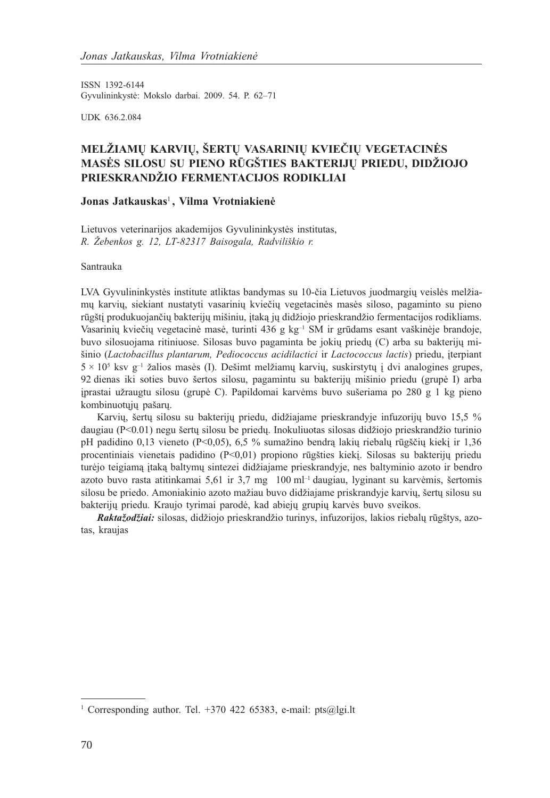ISSN 1392-6144 Gyvulininkystė: Mokslo darbai. 2009. 54. P. 62-71

UDK 636.2.084

# MELŽIAMŲ KARVIŲ, ŠERTŲ VASARINIŲ KVIEČIŲ VEGETACINĖS MASĖS SILOSU SU PIENO RŪGŠTIES BAKTERIJU PRIEDU, DIDŽIOJO PRIESKRANDŽIO FERMENTACIJOS RODIKLIAI

## Jonas Jatkauskas<sup>1</sup>, Vilma Vrotniakienė

Lietuvos veterinarijos akademijos Gyvulininkystës institutas, R. Þebenkos g. 12, LT-82317 Baisogala, Radviliðkio r.

#### Santrauka

LVA Gyvulininkystės institute atliktas bandymas su 10-čia Lietuvos juodmargių veislės melžiamø karviø, siekiant nustatyti vasariniø kvieèiø vegetacinës masës siloso, pagaminto su pieno rūgštį produkuojančių bakterijų mišiniu, įtaką jų didžiojo prieskrandžio fermentacijos rodikliams. Vasarinių kviečių vegetacinė masė, turinti 436 g kg<sup>-1</sup> SM ir grūdams esant vaškinėje brandoje, buvo silosuojama ritiniuose. Silosas buvo pagaminta be jokių priedų (C) arba su bakterijų mišinio (Lactobacillus plantarum, Pediococcus acidilactici ir Lactococcus lactis) priedu, įterpiant  $5 \times 10^5$  ksv g<sup>-1</sup> žalios masės (I). Dešimt melžiamų karvių, suskirstytų į dvi analogines grupes, 92 dienas iki soties buvo ðertos silosu, pagamintu su bakterijø miðinio priedu (grupë I) arba jprastai užraugtu silosu (grupė C). Papildomai karvėms buvo sušeriama po 280 g 1 kg pieno kombinuotųjų pašarų.

Karvių, šertų silosu su bakterijų priedu, didžiajame prieskrandyje infuzorijų buvo 15,5 % daugiau (P<0.01) negu šertų silosu be priedų. Inokuliuotas silosas didžiojo prieskrandžio turinio pH padidino 0,13 vieneto (P<0,05), 6,5 % sumažino bendra lakių riebalų rūgščių kiekį ir 1,36 procentiniais vienetais padidino (P<0,01) propiono rûgðties kieká. Silosas su bakterijø priedu turėjo teigiamą įtaką baltymų sintezei didžiajame prieskrandyje, nes baltyminio azoto ir bendro azoto buvo rasta atitinkamai 5,61 ir 3,7 mg 100 ml<sup>-1</sup> daugiau, lyginant su karvėmis, šertomis silosu be priedo. Amoniakinio azoto mažiau buvo didžiajame priskrandyje karvių, šertų silosu su bakterijų priedu. Kraujo tyrimai parodė, kad abiejų grupių karvės buvo sveikos.

Raktažodžiai: silosas, didžiojo prieskrandžio turinys, infuzorijos, lakios riebalų rūgštys, azotas, kraujas

<sup>&</sup>lt;sup>1</sup> Corresponding author. Tel. +370 422 65383, e-mail: pts@lgi.lt